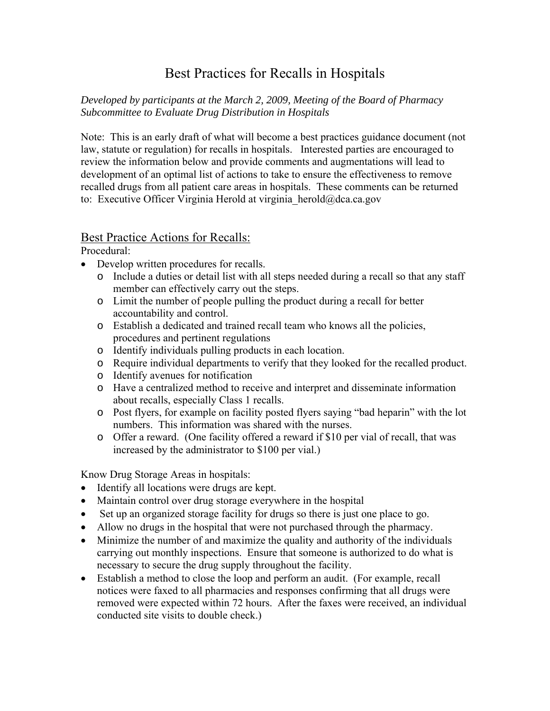## Best Practices for Recalls in Hospitals

## *Developed by participants at the March 2, 2009, Meeting of the Board of Pharmacy Subcommittee to Evaluate Drug Distribution in Hospitals*

Note: This is an early draft of what will become a best practices guidance document (not law, statute or regulation) for recalls in hospitals. Interested parties are encouraged to review the information below and provide comments and augmentations will lead to development of an optimal list of actions to take to ensure the effectiveness to remove recalled drugs from all patient care areas in hospitals. These comments can be returned to: Executive Officer Virginia Herold at virginia herold@dca.ca.gov

## Best Practice Actions for Recalls:

Procedural:

- Develop written procedures for recalls.
	- o Include a duties or detail list with all steps needed during a recall so that any staff member can effectively carry out the steps.
	- o Limit the number of people pulling the product during a recall for better accountability and control.
	- o Establish a dedicated and trained recall team who knows all the policies, procedures and pertinent regulations
	- o Identify individuals pulling products in each location.
	- o Require individual departments to verify that they looked for the recalled product.
	- o Identify avenues for notification
	- o Have a centralized method to receive and interpret and disseminate information about recalls, especially Class 1 recalls.
	- o Post flyers, for example on facility posted flyers saying "bad heparin" with the lot numbers. This information was shared with the nurses.
	- o Offer a reward. (One facility offered a reward if \$10 per vial of recall, that was increased by the administrator to \$100 per vial.)

Know Drug Storage Areas in hospitals:

- Identify all locations were drugs are kept.
- Maintain control over drug storage everywhere in the hospital
- Set up an organized storage facility for drugs so there is just one place to go.
- Allow no drugs in the hospital that were not purchased through the pharmacy.
- Minimize the number of and maximize the quality and authority of the individuals carrying out monthly inspections. Ensure that someone is authorized to do what is necessary to secure the drug supply throughout the facility.
- Establish a method to close the loop and perform an audit. (For example, recall notices were faxed to all pharmacies and responses confirming that all drugs were removed were expected within 72 hours. After the faxes were received, an individual conducted site visits to double check.)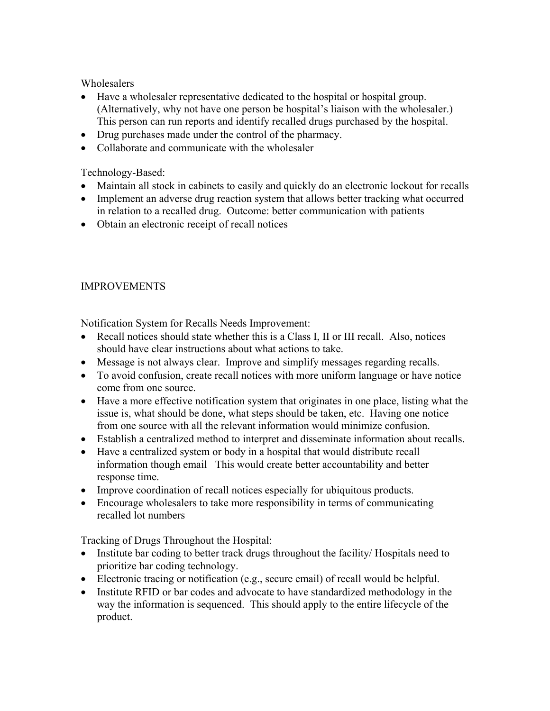**Wholesalers** 

- Have a wholesaler representative dedicated to the hospital or hospital group. (Alternatively, why not have one person be hospital's liaison with the wholesaler.) This person can run reports and identify recalled drugs purchased by the hospital.
- Drug purchases made under the control of the pharmacy.
- Collaborate and communicate with the wholesaler

Technology-Based:

- Maintain all stock in cabinets to easily and quickly do an electronic lockout for recalls
- Implement an adverse drug reaction system that allows better tracking what occurred in relation to a recalled drug. Outcome: better communication with patients
- Obtain an electronic receipt of recall notices

## IMPROVEMENTS

Notification System for Recalls Needs Improvement:

- Recall notices should state whether this is a Class I, II or III recall. Also, notices should have clear instructions about what actions to take.
- Message is not always clear. Improve and simplify messages regarding recalls.
- To avoid confusion, create recall notices with more uniform language or have notice come from one source.
- Have a more effective notification system that originates in one place, listing what the issue is, what should be done, what steps should be taken, etc. Having one notice from one source with all the relevant information would minimize confusion.
- Establish a centralized method to interpret and disseminate information about recalls.
- Have a centralized system or body in a hospital that would distribute recall information though email This would create better accountability and better response time.
- Improve coordination of recall notices especially for ubiquitous products.
- Encourage wholesalers to take more responsibility in terms of communicating recalled lot numbers

Tracking of Drugs Throughout the Hospital:

- Institute bar coding to better track drugs throughout the facility/ Hospitals need to prioritize bar coding technology.
- Electronic tracing or notification (e.g., secure email) of recall would be helpful.
- Institute RFID or bar codes and advocate to have standardized methodology in the way the information is sequenced. This should apply to the entire lifecycle of the product.